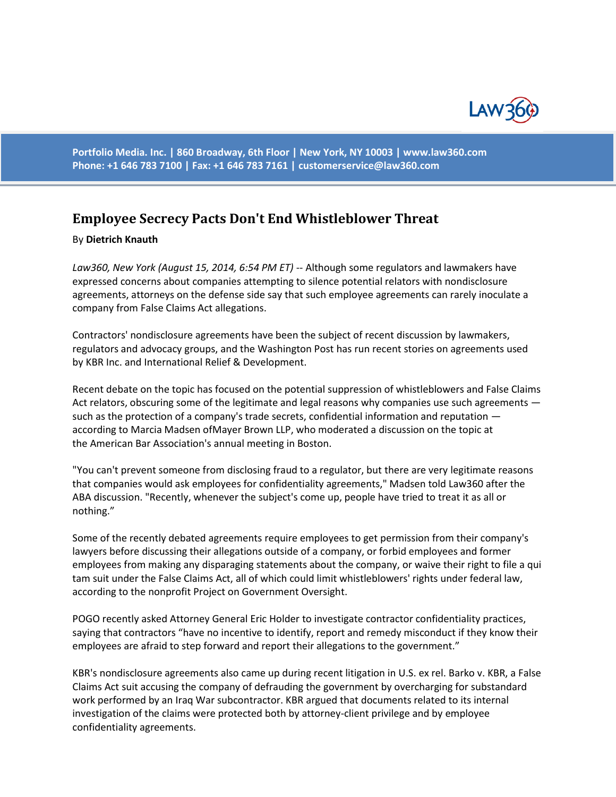

**Portfolio Media. Inc. | 860 Broadway, 6th Floor | New York, NY 10003 | www.law360.com Phone: +1 646 783 7100 | Fax: +1 646 783 7161 | [customerservice@law360.com](mailto:customerservice@law360.com)**

## **Employee Secrecy Pacts Don't End Whistleblower Threat**

## By **Dietrich Knauth**

*Law360, New York (August 15, 2014, 6:54 PM ET)* -- Although some regulators and lawmakers have expressed concerns about companies attempting to silence potential relators with nondisclosure agreements, attorneys on the defense side say that such employee agreements can rarely inoculate a company from False Claims Act allegations.

Contractors' nondisclosure agreements have been the subject of recent discussion by lawmakers, regulators and advocacy groups, and the Washington Post has run recent stories on agreements used by KBR Inc. and International Relief & Development.

Recent debate on the topic has focused on the potential suppression of whistleblowers and False Claims Act relators, obscuring some of the legitimate and legal reasons why companies use such agreements such as the protection of a company's trade secrets, confidential information and reputation according to Marcia Madsen ofMayer Brown LLP, who moderated a discussion on the topic at the American Bar Association's annual meeting in Boston.

"You can't prevent someone from disclosing fraud to a regulator, but there are very legitimate reasons that companies would ask employees for confidentiality agreements," Madsen told Law360 after the ABA discussion. "Recently, whenever the subject's come up, people have tried to treat it as all or nothing."

Some of the recently debated agreements require employees to get permission from their company's lawyers before discussing their allegations outside of a company, or forbid employees and former employees from making any disparaging statements about the company, or waive their right to file a qui tam suit under the False Claims Act, all of which could limit whistleblowers' rights under federal law, according to the nonprofit Project on Government Oversight.

POGO recently asked Attorney General Eric Holder to investigate contractor confidentiality practices, saying that contractors "have no incentive to identify, report and remedy misconduct if they know their employees are afraid to step forward and report their allegations to the government."

KBR's nondisclosure agreements also came up during recent litigation in U.S. ex rel. Barko v. KBR, a False Claims Act suit accusing the company of defrauding the government by overcharging for substandard work performed by an Iraq War subcontractor. KBR argued that documents related to its internal investigation of the claims were protected both by attorney-client privilege and by employee confidentiality agreements.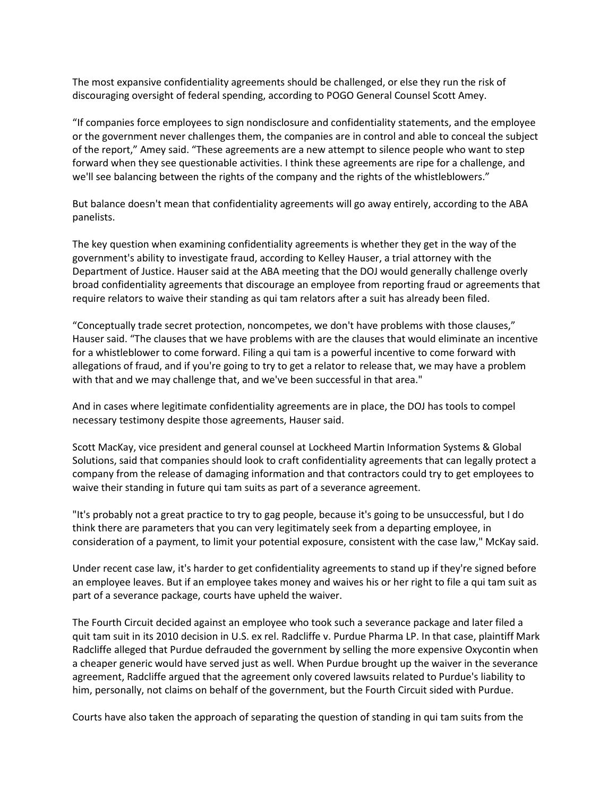The most expansive confidentiality agreements should be challenged, or else they run the risk of discouraging oversight of federal spending, according to POGO General Counsel Scott Amey.

"If companies force employees to sign nondisclosure and confidentiality statements, and the employee or the government never challenges them, the companies are in control and able to conceal the subject of the report," Amey said. "These agreements are a new attempt to silence people who want to step forward when they see questionable activities. I think these agreements are ripe for a challenge, and we'll see balancing between the rights of the company and the rights of the whistleblowers."

But balance doesn't mean that confidentiality agreements will go away entirely, according to the ABA panelists.

The key question when examining confidentiality agreements is whether they get in the way of the government's ability to investigate fraud, according to Kelley Hauser, a trial attorney with the Department of Justice. Hauser said at the ABA meeting that the DOJ would generally challenge overly broad confidentiality agreements that discourage an employee from reporting fraud or agreements that require relators to waive their standing as qui tam relators after a suit has already been filed.

"Conceptually trade secret protection, noncompetes, we don't have problems with those clauses," Hauser said. "The clauses that we have problems with are the clauses that would eliminate an incentive for a whistleblower to come forward. Filing a qui tam is a powerful incentive to come forward with allegations of fraud, and if you're going to try to get a relator to release that, we may have a problem with that and we may challenge that, and we've been successful in that area."

And in cases where legitimate confidentiality agreements are in place, the DOJ has tools to compel necessary testimony despite those agreements, Hauser said.

Scott MacKay, vice president and general counsel at Lockheed Martin Information Systems & Global Solutions, said that companies should look to craft confidentiality agreements that can legally protect a company from the release of damaging information and that contractors could try to get employees to waive their standing in future qui tam suits as part of a severance agreement.

"It's probably not a great practice to try to gag people, because it's going to be unsuccessful, but I do think there are parameters that you can very legitimately seek from a departing employee, in consideration of a payment, to limit your potential exposure, consistent with the case law," McKay said.

Under recent case law, it's harder to get confidentiality agreements to stand up if they're signed before an employee leaves. But if an employee takes money and waives his or her right to file a qui tam suit as part of a severance package, courts have upheld the waiver.

The Fourth Circuit decided against an employee who took such a severance package and later filed a quit tam suit in its 2010 decision in U.S. ex rel. Radcliffe v. Purdue Pharma LP. In that case, plaintiff Mark Radcliffe alleged that Purdue defrauded the government by selling the more expensive Oxycontin when a cheaper generic would have served just as well. When Purdue brought up the waiver in the severance agreement, Radcliffe argued that the agreement only covered lawsuits related to Purdue's liability to him, personally, not claims on behalf of the government, but the Fourth Circuit sided with Purdue.

Courts have also taken the approach of separating the question of standing in qui tam suits from the